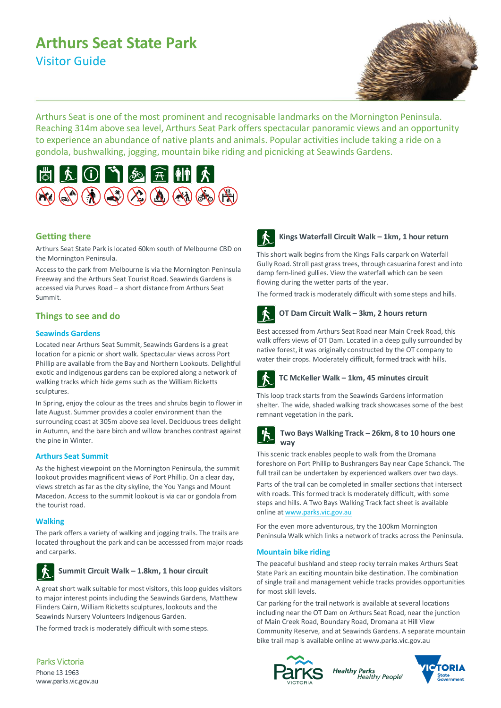# **Arthurs Seat State Park** Visitor Guide



Arthurs Seat is one of the most prominent and recognisable landmarks on the Mornington Peninsula. Reaching 314m above sea level, Arthurs Seat Park offers spectacular panoramic views and an opportunity to experience an abundance of native plants and animals. Popular activities include taking a ride on a gondola, bushwalking, jogging, mountain bike riding and picnicking at Seawinds Gardens.



## **Getting there**

Arthurs Seat State Park is located 60km south of Melbourne CBD on the Mornington Peninsula.

Access to the park from Melbourne is via the Mornington Peninsula Freeway and the Arthurs Seat Tourist Road. Seawinds Gardens is accessed via Purves Road ‒ a short distance from Arthurs Seat Summit.

## **Things to see and do**

### **Seawinds Gardens**

Located near Arthurs Seat Summit, Seawinds Gardens is a great location for a picnic or short walk. Spectacular views across Port Phillip are available from the Bay and Northern Lookouts. Delightful exotic and indigenous gardens can be explored along a network of walking tracks which hide gems such as the William Ricketts sculptures.

In Spring, enjoy the colour as the trees and shrubs begin to flower in late August. Summer provides a cooler environment than the surrounding coast at 305m above sea level. Deciduous trees delight in Autumn, and the bare birch and willow branches contrast against the pine in Winter.

### **Arthurs Seat Summit**

As the highest viewpoint on the Mornington Peninsula, the summit lookout provides magnificent views of Port Phillip. On a clear day, views stretch as far as the city skyline, the You Yangs and Mount Macedon. Access to the summit lookout is via car or gondola from the tourist road.

### **Walking**

The park offers a variety of walking and jogging trails. The trails are located throughout the park and can be accesssed from major roads and carparks.



### **Summit Circuit Walk – 1.8km, 1 hour circuit**

A great short walk suitable for most visitors, this loop guides visitors to major interest points including the Seawinds Gardens, Matthew Flinders Cairn, William Ricketts sculptures, lookouts and the Seawinds Nursery Volunteers Indigenous Garden.

The formed track is moderately difficult with some steps.



### **Kings Waterfall Circuit Walk – 1km, 1 hour return**

This short walk begins from the Kings Falls carpark on Waterfall Gully Road. Stroll past grass trees, through casuarina forest and into damp fern-lined gullies. View the waterfall which can be seen flowing during the wetter parts of the year.

The formed track is moderately difficult with some steps and hills.



## **OT Dam Circuit Walk – 3km, 2 hours return**

Best accessed from Arthurs Seat Road near Main Creek Road, this walk offers views of OT Dam. Located in a deep gully surrounded by native forest, it was originally constructed by the OT company to water their crops. Moderately difficult, formed track with hills.



## **TC McKeller Walk – 1km, 45 minutes circuit**

This loop track starts from the Seawinds Gardens information shelter. The wide, shaded walking track showcases some of the best remnant vegetation in the park.



This scenic track enables people to walk from the Dromana foreshore on Port Phillip to Bushrangers Bay near Cape Schanck. The full trail can be undertaken by experienced walkers over two days.

Parts of the trail can be completed in smaller sections that intersect with roads. This formed track Is moderately difficult, with some steps and hills. A Two Bays Walking Track fact sheet is available online a[t www.parks.vic.gov.au](http://www.parks.vic.gov.au/)

For the even more adventurous, try the 100km Mornington Peninsula Walk which links a network of tracks across the Peninsula.

### **Mountain bike riding**

The peaceful bushland and steep rocky terrain makes Arthurs Seat State Park an exciting mountain bike destination. The combination of single trail and management vehicle tracks provides opportunities for most skill levels.

Car parking for the trail network is available at several locations including near the OT Dam on Arthurs Seat Road, near the junction of Main Creek Road, Boundary Road, Dromana at Hill View Community Reserve, and at Seawinds Gardens. A separate mountain bike trail map is available online at www.parks.vic.gov.au



**Healthy Parks** Healthy People®



Parks Victoria Phone 13 1963 www.parks.vic.gov.au